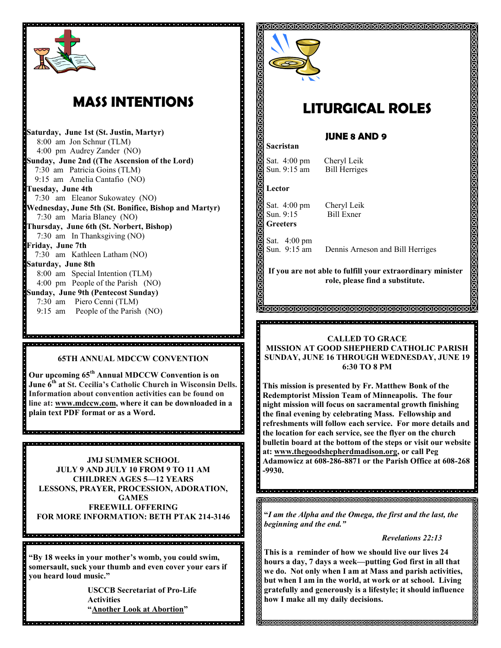

# **MASS INTENTIONS**

**Saturday, June 1st (St. Justin, Martyr)** 8:00 am Jon Schnur (TLM) 4:00 pm Audrey Zander (NO) **Sunday, June 2nd ((The Ascension of the Lord)** 7:30 am Patricia Goins (TLM) 9:15 am Amelia Cantafio (NO) **Tuesday, June 4th** 7:30 am Eleanor Sukowatey (NO) **Wednesday, June 5th (St. Bonifice, Bishop and Martyr)** 7:30 am Maria Blaney (NO) **Thursday, June 6th (St. Norbert, Bishop)** 7:30 am In Thanksgiving (NO) **Friday, June 7th** 7:30 am Kathleen Latham (NO) **Saturday, June 8th**  8:00 am Special Intention (TLM) 4:00 pm People of the Parish (NO) **Sunday, June 9th (Pentecost Sunday)** 7:30 am Piero Cenni (TLM) 9:15 am People of the Parish (NO)

#### **65TH ANNUAL MDCCW CONVENTION**

**Our upcoming 65th Annual MDCCW Convention is on June 6th at St. Cecilia's Catholic Church in Wisconsin Dells. Information about convention activities can be found on line at: [www.mdccw.com,](www.mdccw.com) where it can be downloaded in a plain text PDF format or as a Word.** 

**JMJ SUMMER SCHOOL JULY 9 AND JULY 10 FROM 9 TO 11 AM CHILDREN AGES 5—12 YEARS LESSONS, PRAYER, PROCESSION, ADORATION, GAMES FREEWILL OFFERING FOR MORE INFORMATION: BETH PTAK 214-3146**

**"By 18 weeks in your mother's womb, you could swim, somersault, suck your thumb and even cover your ears if you heard loud music."**

**USCCB Secretariat of Pro-Life Activities "Another Look at Abortion"**



## **LITURGICAL ROLES**

## **JUNE 8 AND 9**

Sat. 4:00 pm Cheryl Leik Sun. 9:15 am Bill Herriges

#### **Lector**

**Sacristan**

Sat. 4:00 pm Cheryl Leik Sun. 9:15 Bill Exner **Greeters**

Sat. 4:00 pm<br>Sun. 9:15 am Dennis Arneson and Bill Herriges

**If you are not able to fulfill your extraordinary minister role, please find a substitute.** 

> **IKIKIKIKIKIKIKIKIKIKIKIKIKIKI**

### **CALLED TO GRACE MISSION AT GOOD SHEPHERD CATHOLIC PARISH SUNDAY, JUNE 16 THROUGH WEDNESDAY, JUNE 19 6:30 TO 8 PM**

**This mission is presented by Fr. Matthew Bonk of the Redemptorist Mission Team of Minneapolis. The four night mission will focus on sacramental growth finishing the final evening by celebrating Mass. Fellowship and refreshments will follow each service. For more details and the location for each service, see the flyer on the church bulletin board at the bottom of the steps or visit our website at: www.thegoodshepherdmadison.org, or call Peg Adamowicz at 608-286-8871 or the Parish Office at 608-268 -9930.** 

ାଗଗଗଗଗଗଗଗଗଗଗଗଗଗଗଗଗଗ

**"***I am the Alpha and the Omega, the first and the last, the beginning and the end."*

### *Revelations 22:13*

**This is a reminder of how we should live our lives 24 hours a day, 7 days a week—putting God first in all that we do. Not only when I am at Mass and parish activities, but when I am in the world, at work or at school. Living gratefully and generously is a lifestyle; it should influence how I make all my daily decisions.** 

**SUSUSUSUSUSUSUSUSUSU**